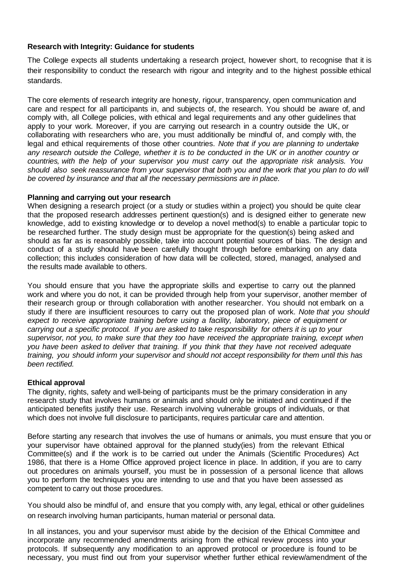## **Research with Integrity: Guidance for students**

The College expects all students undertaking a research project, however short, to recognise that it is their responsibility to conduct the research with rigour and integrity and to the highest possible ethical standards.

The core elements of research integrity are honesty, rigour, transparency, open communication and care and respect for all participants in, and subjects of, the research. You should be aware of, and comply with, all College policies, with ethical and legal requirements and any other guidelines that apply to your work. Moreover, if you are carrying out research in a country outside the UK, or collaborating with researchers who are, you must additionally be mindful of, and comply with, the legal and ethical requirements of those other countries. *Note that if you are planning to undertake*  any research outside the College, whether it is to be conducted in the UK or in another country or *countries, with the help of your supervisor you must carry out the appropriate risk analysis. You* should also seek reassurance from your supervisor that both you and the work that you plan to do will *be covered by insurance and that all the necessary permissions are in place.*

#### **Planning and carrying out your research**

When designing a research project (or a study or studies within a project) you should be quite clear that the proposed research addresses pertinent question(s) and is designed either to generate new knowledge, add to existing knowledge or to develop a novel method(s) to enable a particular topic to be researched further. The study design must be appropriate for the question(s) being asked and should as far as is reasonably possible, take into account potential sources of bias. The design and conduct of a study should have been carefully thought through before embarking on any data collection; this includes consideration of how data will be collected, stored, managed, analysed and the results made available to others.

You should ensure that you have the appropriate skills and expertise to carry out the planned work and where you do not, it can be provided through help from your supervisor, another member of their research group or through collaboration with another researcher. You should not embark on a study if there are insufficient resources to carry out the proposed plan of work. *Note that you should expect to receive appropriate training before using a facility, laboratory, piece of equipment or carrying out a specific protocol. If you are asked to take responsibility for others it is up to your supervisor, not you, to make sure that they too have received the appropriate training, except when you have been asked to deliver that training. If you think that they have not received adequate training, you should inform your supervisor and should not accept responsibility for them until this has been rectified.*

## **Ethical approval**

The dignity, rights, safety and well-being of participants must be the primary consideration in any research study that involves humans or animals and should only be initiated and continued if the anticipated benefits justify their use. Research involving vulnerable groups of individuals, or that which does not involve full disclosure to participants, requires particular care and attention.

Before starting any research that involves the use of humans or animals, you must ensure that you or your supervisor have obtained approval for the planned study(ies) from the relevant Ethical Committee(s) and if the work is to be carried out under the Animals (Scientific Procedures) Act 1986, that there is a Home Office approved project licence in place. In addition, if you are to carry out procedures on animals yourself, you must be in possession of a personal licence that allows you to perform the techniques you are intending to use and that you have been assessed as competent to carry out those procedures.

You should also be mindful of, and ensure that you comply with, any legal, ethical or other guidelines on research involving human participants, human material or personal data.

In all instances, you and your supervisor must abide by the decision of the Ethical Committee and incorporate any recommended amendments arising from the ethical review process into your protocols. If subsequently any modification to an approved protocol or procedure is found to be necessary, you must find out from your supervisor whether further ethical review/amendment of the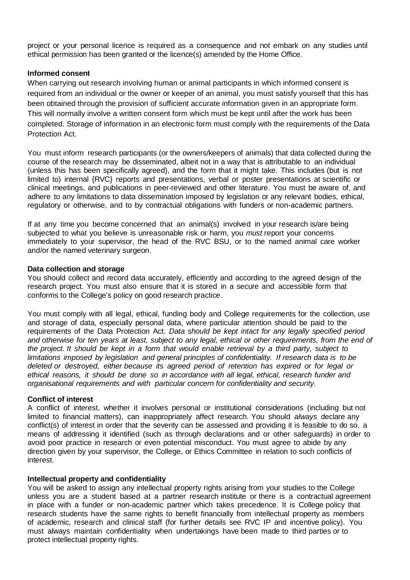project or your personal licence is required as a consequence and not embark on any studies until ethical permission has been granted or the licence(s) amended by the Home Office.

## **Informed consent**

When carrying out research involving human or animal participants in which informed consent is required from an individual or the owner or keeper of an animal, you must satisfy yourself that this has been obtained through the provision of sufficient accurate information given in an appropriate form. This will normally involve a written consent form which must be kept until after the work has been completed. Storage of information in an electronic form must comply with the requirements of the Data Protection Act.

You must inform research participants (or the owners/keepers of animals) that data collected during the course of the research may be disseminated, albeit not in a way that is attributable to an individual (unless this has been specifically agreed), and the form that it might take. This includes (but is not limited to) internal {RVC} reports and presentations, verbal or poster presentations at scientific or clinical meetings, and publications in peer-reviewed and other literature. You must be aware of, and adhere to any limitations to data dissemination imposed by legislation or any relevant bodies, ethical, regulatory or otherwise, and to by contractual obligations with funders or non-academic partners.

If at any time you become concerned that an animal(s) involved in your research is/are being subjected to what you believe is unreasonable risk or harm, you *must* report your concerns immediately to your supervisor, the head of the RVC BSU, or to the named animal care worker and/or the named veterinary surgeon.

#### **Data collection and storage**

You should collect and record data accurately, efficiently and according to the agreed design of the research project. You must also ensure that it is stored in a secure and accessible form that conforms to the College's policy on good research practice.

You must comply with all legal, ethical, funding body and College requirements for the collection, use and storage of data, especially personal data, where particular attention should be paid to the requirements of the Data Protection Act. *Data should be kept intact for any legally specified period* and otherwise for ten years at least, subject to any legal, ethical or other requirements, from the end of *the project. It should be kept in a form that would enable retrieval by a third party, subject to limitations imposed by legislation and general principles of confidentiality. If research data is to be deleted or destroyed, either because its agreed period of retention has expired or for legal or ethical reasons, it should be done so in accordance with all legal, ethical, research funder and organisational requirements and with particular concern for confidentiality and security.*

## **Conflict of interest**

A conflict of interest, whether it involves personal or institutional considerations (including but not limited to financial matters), can inappropriately affect research. You should *always* declare any conflict(s) of interest in order that the severity can be assessed and providing it is feasible to do so, a means of addressing it identified (such as through declarations and or other safeguards) in order to avoid poor practice in research or even potential misconduct. You must agree to abide by any direction given by your supervisor, the College, or Ethics Committee in relation to such conflicts of interest.

## **Intellectual property and confidentiality**

You will be asked to assign any intellectual property rights arising from your studies to the College unless you are a student based at a partner research institute or there is a contractual agreement in place with a funder or non-academic partner which takes precedence. It is College policy that research students have the same rights to benefit financially from intellectual property as members of academic, research and clinical staff (for further details see RVC IP and incentive policy). You must always maintain confidentiality when undertakings have been made to third parties or to protect intellectual property rights.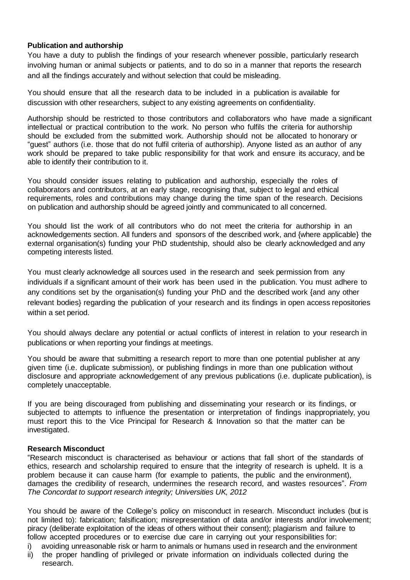# **Publication and authorship**

You have a duty to publish the findings of your research whenever possible, particularly research involving human or animal subjects or patients, and to do so in a manner that reports the research and all the findings accurately and without selection that could be misleading.

You should ensure that all the research data to be included in a publication is available for discussion with other researchers, subject to any existing agreements on confidentiality.

Authorship should be restricted to those contributors and collaborators who have made a significant intellectual or practical contribution to the work. No person who fulfils the criteria for authorship should be excluded from the submitted work. Authorship should not be allocated to honorary or "guest" authors (i.e. those that do not fulfil criteria of authorship). Anyone listed as an author of any work should be prepared to take public responsibility for that work and ensure its accuracy, and be able to identify their contribution to it.

You should consider issues relating to publication and authorship, especially the roles of collaborators and contributors, at an early stage, recognising that, subject to legal and ethical requirements, roles and contributions may change during the time span of the research. Decisions on publication and authorship should be agreed jointly and communicated to all concerned.

You should list the work of all contributors who do not meet the criteria for authorship in an acknowledgements section. All funders and sponsors of the described work, and {where applicable} the external organisation(s) funding your PhD studentship, should also be clearly acknowledged and any competing interests listed.

You must clearly acknowledge all sources used in the research and seek permission from any individuals if a significant amount of their work has been used in the publication. You must adhere to any conditions set by the organisation(s) funding your PhD and the described work {and any other relevant bodies} regarding the publication of your research and its findings in open access repositories within a set period.

You should always declare any potential or actual conflicts of interest in relation to your research in publications or when reporting your findings at meetings.

You should be aware that submitting a research report to more than one potential publisher at any given time (i.e. duplicate submission), or publishing findings in more than one publication without disclosure and appropriate acknowledgement of any previous publications (i.e. duplicate publication), is completely unacceptable.

If you are being discouraged from publishing and disseminating your research or its findings, or subjected to attempts to influence the presentation or interpretation of findings inappropriately, you must report this to the Vice Principal for Research & Innovation so that the matter can be investigated.

## **Research Misconduct**

"Research misconduct is characterised as behaviour or actions that fall short of the standards of ethics, research and scholarship required to ensure that the integrity of research is upheld. It is a problem because it can cause harm (for example to patients, the public and the environment), damages the credibility of research, undermines the research record, and wastes resources". *From The Concordat to support research integrity; Universities UK, 2012*

You should be aware of the College's policy on misconduct in research. Misconduct includes (but is not limited to): fabrication; falsification; misrepresentation of data and/or interests and/or involvement; piracy (deliberate exploitation of the ideas of others without their consent); plagiarism and failure to follow accepted procedures or to exercise due care in carrying out your responsibilities for:

i) avoiding unreasonable risk or harm to animals or humans used in research and the environment

ii) the proper handling of privileged or private information on individuals collected during the research.